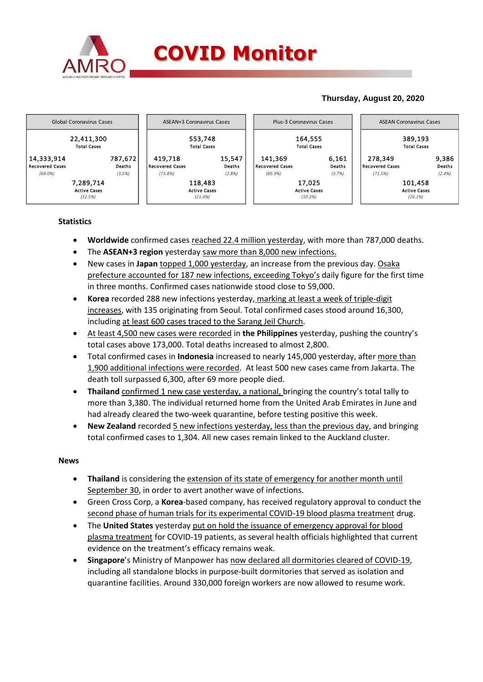

## **Thursday, August 20, 2020**



## **Statistics**

- **Worldwide** confirmed cases reached 22.4 million yesterday, with more than 787,000 deaths.
- The **ASEAN+3 region** yesterday saw more than 8,000 new infections.
- New cases in **Japan** topped 1,000 yesterday, an increase from the previous day. Osaka prefecture accounted for 187 new infections, exceeding Tokyo's daily figure for the first time in three months. Confirmed cases nationwide stood close to 59,000.
- **Korea** recorded 288 new infections yesterday, marking at least a week of triple-digit increases, with 135 originating from Seoul. Total confirmed cases stood around 16,300, including at least 600 cases traced to the Sarang Jeil Church.
- At least 4,500 new cases were recorded in **the Philippines** yesterday, pushing the country's total cases above 173,000. Total deaths increased to almost 2,800.
- Total confirmed cases in **Indonesia** increased to nearly 145,000 yesterday, after more than 1,900 additional infections were recorded. At least 500 new cases came from Jakarta. The death toll surpassed 6,300, after 69 more people died.
- **Thailand** confirmed 1 new case yesterday, a national, bringing the country's total tally to more than 3,380. The individual returned home from the United Arab Emirates in June and had already cleared the two-week quarantine, before testing positive this week.
- **New Zealand** recorded 5 new infections yesterday, less than the previous day, and bringing total confirmed cases to 1,304. All new cases remain linked to the Auckland cluster.

## **News**

- **Thailand** is considering the extension of its state of emergency for another month until September 30, in order to avert another wave of infections.
- Green Cross Corp, a **Korea**-based company, has received regulatory approval to conduct the second phase of human trials for its experimental COVID-19 blood plasma treatment drug.
- The **United States** yesterday put on hold the issuance of emergency approval for blood plasma treatment for COVID-19 patients, as several health officials highlighted that current evidence on the treatment's efficacy remains weak.
- **Singapore**'s Ministry of Manpower has now declared all dormitories cleared of COVID-19, including all standalone blocks in purpose-built dormitories that served as isolation and quarantine facilities. Around 330,000 foreign workers are now allowed to resume work.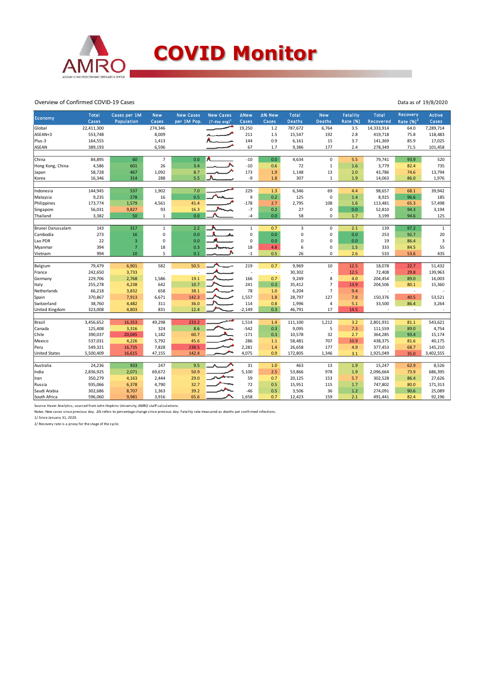

Overview of Confirmed COVID-19 Cases

| Rate $(%)2$<br><b>Deaths</b><br>Rate (%)<br>Cases<br>per 1M Pop.<br>$(7-day avg)^1$<br>Cases<br>Cases<br><b>Deaths</b><br>Cases<br>Population<br>Cases<br>Recovered<br>Global<br>22,411,300<br>274,346<br>19,250<br>787,672<br>6,764<br>3.5<br>14,333,914<br>64.0<br>7,289,714<br>1.2<br>ASEAN+3<br>553,748<br>8,009<br>211<br>1.5<br>15,547<br>192<br>2.8<br>419,718<br>118,483<br>75.8<br>144<br>3.7<br>Plus-3<br>164,555<br>1,413<br>0.9<br>6,161<br>15<br>141,369<br>85.9<br>17,025<br>ASEAN<br>6,596<br>67<br>177<br>389,193<br>1.7<br>9,386<br>2.4<br>278,349<br>71.5<br>101,458<br>China<br>$\overline{7}$<br>$-10$<br>84,895<br>60<br>0.0<br>4,634<br>$\mathsf 0$<br>5.5<br>79,741<br>93.9<br>520<br>0.0<br>26<br>$\,1\,$<br>1.6<br>4,586<br>601<br>3.4<br>$-10$<br>0.6<br>72<br>3,779<br>735<br>Hong Kong, China<br>82.4<br>173<br>58,728<br>1,092<br>8.7<br>1.9<br>1,148<br>13<br>2.0<br>43,786<br>74.6<br>13,794<br>467<br>Japan<br>5.5<br>288<br>-9<br>1.8<br>307<br>1.9<br>1,976<br>Korea<br>16,346<br>314<br>$1\,$<br>14,063<br>86.0<br>144,945<br>229<br>537<br>1,902<br>7.0<br>1.3<br>6,346<br>69<br>98,657<br>39,942<br>Indonesia<br>4.4<br>68.1<br>16<br>0.5<br>9<br>$\mathbf 0$<br>Malaysia<br>9,235<br>278<br>0.2<br>125<br>1.4<br>8,925<br>96.6<br>185<br>$-178$<br>173,774<br>4,561<br>2,795<br>108<br>57,498<br>Philippines<br>1,579<br>41.4<br>2.7<br>1.6<br>113,481<br>65.3<br>56,031<br>93<br>16.3<br>$-7$<br>0.2<br>27<br>0<br>0.0<br>3,194<br>Singapore<br>9,827<br>52,810<br>94.3<br>3,382<br>50<br>$\mathbf 1$<br>0.0<br>-4<br>0.0<br>58<br>$\mathbf 0$<br>3,199<br>125<br>Thailand<br>1.7<br>94.6<br>317<br>2.2<br>$\mathbf{1}$<br>143<br>$\mathbf{1}$<br>$\mathbf{1}$<br>0.7<br>3<br>$\mathbf 0$<br>2.1<br>139<br>97.2<br>Brunei Darussalam<br>0<br>$\mathbf 0$<br>$20\,$<br>273<br>16<br>0.0<br>0.0<br>$\mathbf 0$<br>0.0<br>253<br>92.7<br>Cambodia<br>$\mathbf 0$<br>0<br>0.0<br>$\pmb{0}$<br>19<br>3<br>Lao PDR<br>22<br>3<br>0.0<br>0<br>0.0<br>$\mathbf 0$<br>86.4<br>0<br>55<br>394<br>$\overline{7}$<br>18<br>0.3<br>18<br>333<br>Myanmar<br>4.8<br>6<br>1.5<br>84.5<br>$-1$<br>994<br>10<br>5<br>0.1<br>0.5<br>26<br>$\mathbf 0$<br>533<br>435<br>2.6<br>53.6<br>Vietnam<br>582<br>79,479<br>6,901<br>50.5<br>219<br>0.7<br>9,969<br>10<br>12.5<br>18,078<br>51,432<br>Belgium<br>22.7<br>242,650<br>3,733<br>30,302<br>12.5<br>72,408<br>29.8<br>139,963<br>France<br>Ĭ.<br>$\sim$<br>229,706<br>166<br>9,249<br>89.0<br>16,003<br>2,768<br>1,586<br>19.1<br>0.7<br>8<br>4.0<br>204,454<br>Germany<br>$\overline{7}$<br>255,278<br>642<br>10.7<br>241<br>0.3<br>35,412<br>Italy<br>4,238<br>13.9<br>204,506<br>15,360<br>80.1<br>$\overline{7}$<br>66,218<br>38.1<br>78<br>6,204<br>Netherlands<br>3,832<br>658<br>9.4<br>1.0<br>$\sim$<br>$\overline{\phantom{a}}$<br>370,867<br>1,557<br>28,797<br>127<br>53,521<br>Spain<br>7,913<br>6,671<br>142.3<br>1.8<br>7.8<br>150,376<br>40.5<br>36.0<br>114<br>5.1<br>33,500<br>3,264<br>Switzerland<br>38,760<br>4,482<br>311<br>0.8<br>1,996<br>4<br>86.4<br>$-2,149$<br>17<br>14.5<br>United Kingdom<br>323,008<br>4,803<br>831<br>12.4<br>0.3<br>46,791<br>÷.<br>3,456,652<br>16,353<br>233.2<br>1,514<br>1,212<br>3.2<br>Brazil<br>49,298<br>1.4<br>111,100<br>2,801,931<br>81.1<br>543,621<br>$-542$<br>125,408<br>324<br>8.6<br>9,095<br>5<br>7.3<br>4,754<br>Canada<br>3,316<br>0.3<br>111,559<br>89.0<br>Chile<br>390,037<br>20,045<br>60.7<br>$-171$<br>10,578<br>32<br>364,285<br>15,174<br>1,182<br>0.3<br>2.7<br>93.4<br>537,031<br>286<br>707<br>10.9<br>40,175<br>Mexico<br>4,226<br>5,792<br>45.6<br>58,481<br>438,375<br>$1.1$<br>81.6<br>549,321<br>7,828<br>2,281<br>26,658<br>177<br>Peru<br>16,735<br>238.5<br>1.4<br>4.9<br>377,453<br>68.7<br>145,210<br>4,075<br>0.9<br><b>United States</b><br>5,500,409<br>16,615<br>47,155<br>142.4<br>172,805<br>1,346<br>1,925,049<br>35.0<br>3,402,555<br>3.1<br>24,236<br>247<br>31<br>Australia<br>933<br>9.5<br>463<br>13<br>1.9<br>15,247<br>8,526<br>1.0<br>62.9<br>5,100<br>2,836,925<br>2,071<br>69,672<br>50.9<br>2.5<br>53,866<br>978<br>1.9<br>2,096,664<br>686,395<br>India<br>73.9<br>350,279<br>2,444<br>59<br>20,125<br>5.7<br>302,528<br>27,626<br>4,163<br>29.0<br>0.7<br>153<br>86.4<br>Iran<br>0.5<br>747,802<br>171,313<br>935,066<br>6,378<br>4,790<br>32.7<br>72<br>15,951<br>115<br>1.7<br>80.0<br>Russia<br>39.2<br>$-46$<br>3,506<br>36<br>1.2<br>25,089<br>Saudi Arabia<br>302,686<br>8,707<br>1,363<br>0.5<br>274,091<br>90.6<br>1,658<br>159<br>South Africa<br>596,060<br>9,981<br>3,916<br>65.6<br>0.7<br>12,423<br>2.1<br>491,441<br>82.4<br>92,196 | Economy | <b>Total</b> | Cases per 1M | <b>New</b> | <b>New Cases</b> | <b>New Cases</b> | ∆New | ∆% New | <b>Total</b> | <b>New</b> | <b>Fatality</b> | <b>Total</b> | Recovery | <b>Active</b> |
|--------------------------------------------------------------------------------------------------------------------------------------------------------------------------------------------------------------------------------------------------------------------------------------------------------------------------------------------------------------------------------------------------------------------------------------------------------------------------------------------------------------------------------------------------------------------------------------------------------------------------------------------------------------------------------------------------------------------------------------------------------------------------------------------------------------------------------------------------------------------------------------------------------------------------------------------------------------------------------------------------------------------------------------------------------------------------------------------------------------------------------------------------------------------------------------------------------------------------------------------------------------------------------------------------------------------------------------------------------------------------------------------------------------------------------------------------------------------------------------------------------------------------------------------------------------------------------------------------------------------------------------------------------------------------------------------------------------------------------------------------------------------------------------------------------------------------------------------------------------------------------------------------------------------------------------------------------------------------------------------------------------------------------------------------------------------------------------------------------------------------------------------------------------------------------------------------------------------------------------------------------------------------------------------------------------------------------------------------------------------------------------------------------------------------------------------------------------------------------------------------------------------------------------------------------------------------------------------------------------------------------------------------------------------------------------------------------------------------------------------------------------------------------------------------------------------------------------------------------------------------------------------------------------------------------------------------------------------------------------------------------------------------------------------------------------------------------------------------------------------------------------------------------------------------------------------------------------------------------------------------------------------------------------------------------------------------------------------------------------------------------------------------------------------------------------------------------------------------------------------------------------------------------------------------------------------------------------------------------------------------------------------------------------------------------------------------------------------------------------------------------------------------------------------------------------------------------------------------------------------------------------------------------------------------------------------------------------------------------------------------------------------------------------------------------------------------------------------------------------------------------------------------------------------------------------------------------------------------------------------------------------------------------------------------------------------------------------------------------------------------------------------------------------------------------------------------------------------------------------------------------------------------------------------------------------------------------------------------------------------------------------|---------|--------------|--------------|------------|------------------|------------------|------|--------|--------------|------------|-----------------|--------------|----------|---------------|
|                                                                                                                                                                                                                                                                                                                                                                                                                                                                                                                                                                                                                                                                                                                                                                                                                                                                                                                                                                                                                                                                                                                                                                                                                                                                                                                                                                                                                                                                                                                                                                                                                                                                                                                                                                                                                                                                                                                                                                                                                                                                                                                                                                                                                                                                                                                                                                                                                                                                                                                                                                                                                                                                                                                                                                                                                                                                                                                                                                                                                                                                                                                                                                                                                                                                                                                                                                                                                                                                                                                                                                                                                                                                                                                                                                                                                                                                                                                                                                                                                                                                                                                                                                                                                                                                                                                                                                                                                                                                                                                                                                                                                                      |         |              |              |            |                  |                  |      |        |              |            |                 |              |          |               |
|                                                                                                                                                                                                                                                                                                                                                                                                                                                                                                                                                                                                                                                                                                                                                                                                                                                                                                                                                                                                                                                                                                                                                                                                                                                                                                                                                                                                                                                                                                                                                                                                                                                                                                                                                                                                                                                                                                                                                                                                                                                                                                                                                                                                                                                                                                                                                                                                                                                                                                                                                                                                                                                                                                                                                                                                                                                                                                                                                                                                                                                                                                                                                                                                                                                                                                                                                                                                                                                                                                                                                                                                                                                                                                                                                                                                                                                                                                                                                                                                                                                                                                                                                                                                                                                                                                                                                                                                                                                                                                                                                                                                                                      |         |              |              |            |                  |                  |      |        |              |            |                 |              |          |               |
|                                                                                                                                                                                                                                                                                                                                                                                                                                                                                                                                                                                                                                                                                                                                                                                                                                                                                                                                                                                                                                                                                                                                                                                                                                                                                                                                                                                                                                                                                                                                                                                                                                                                                                                                                                                                                                                                                                                                                                                                                                                                                                                                                                                                                                                                                                                                                                                                                                                                                                                                                                                                                                                                                                                                                                                                                                                                                                                                                                                                                                                                                                                                                                                                                                                                                                                                                                                                                                                                                                                                                                                                                                                                                                                                                                                                                                                                                                                                                                                                                                                                                                                                                                                                                                                                                                                                                                                                                                                                                                                                                                                                                                      |         |              |              |            |                  |                  |      |        |              |            |                 |              |          |               |
|                                                                                                                                                                                                                                                                                                                                                                                                                                                                                                                                                                                                                                                                                                                                                                                                                                                                                                                                                                                                                                                                                                                                                                                                                                                                                                                                                                                                                                                                                                                                                                                                                                                                                                                                                                                                                                                                                                                                                                                                                                                                                                                                                                                                                                                                                                                                                                                                                                                                                                                                                                                                                                                                                                                                                                                                                                                                                                                                                                                                                                                                                                                                                                                                                                                                                                                                                                                                                                                                                                                                                                                                                                                                                                                                                                                                                                                                                                                                                                                                                                                                                                                                                                                                                                                                                                                                                                                                                                                                                                                                                                                                                                      |         |              |              |            |                  |                  |      |        |              |            |                 |              |          |               |
|                                                                                                                                                                                                                                                                                                                                                                                                                                                                                                                                                                                                                                                                                                                                                                                                                                                                                                                                                                                                                                                                                                                                                                                                                                                                                                                                                                                                                                                                                                                                                                                                                                                                                                                                                                                                                                                                                                                                                                                                                                                                                                                                                                                                                                                                                                                                                                                                                                                                                                                                                                                                                                                                                                                                                                                                                                                                                                                                                                                                                                                                                                                                                                                                                                                                                                                                                                                                                                                                                                                                                                                                                                                                                                                                                                                                                                                                                                                                                                                                                                                                                                                                                                                                                                                                                                                                                                                                                                                                                                                                                                                                                                      |         |              |              |            |                  |                  |      |        |              |            |                 |              |          |               |
|                                                                                                                                                                                                                                                                                                                                                                                                                                                                                                                                                                                                                                                                                                                                                                                                                                                                                                                                                                                                                                                                                                                                                                                                                                                                                                                                                                                                                                                                                                                                                                                                                                                                                                                                                                                                                                                                                                                                                                                                                                                                                                                                                                                                                                                                                                                                                                                                                                                                                                                                                                                                                                                                                                                                                                                                                                                                                                                                                                                                                                                                                                                                                                                                                                                                                                                                                                                                                                                                                                                                                                                                                                                                                                                                                                                                                                                                                                                                                                                                                                                                                                                                                                                                                                                                                                                                                                                                                                                                                                                                                                                                                                      |         |              |              |            |                  |                  |      |        |              |            |                 |              |          |               |
|                                                                                                                                                                                                                                                                                                                                                                                                                                                                                                                                                                                                                                                                                                                                                                                                                                                                                                                                                                                                                                                                                                                                                                                                                                                                                                                                                                                                                                                                                                                                                                                                                                                                                                                                                                                                                                                                                                                                                                                                                                                                                                                                                                                                                                                                                                                                                                                                                                                                                                                                                                                                                                                                                                                                                                                                                                                                                                                                                                                                                                                                                                                                                                                                                                                                                                                                                                                                                                                                                                                                                                                                                                                                                                                                                                                                                                                                                                                                                                                                                                                                                                                                                                                                                                                                                                                                                                                                                                                                                                                                                                                                                                      |         |              |              |            |                  |                  |      |        |              |            |                 |              |          |               |
|                                                                                                                                                                                                                                                                                                                                                                                                                                                                                                                                                                                                                                                                                                                                                                                                                                                                                                                                                                                                                                                                                                                                                                                                                                                                                                                                                                                                                                                                                                                                                                                                                                                                                                                                                                                                                                                                                                                                                                                                                                                                                                                                                                                                                                                                                                                                                                                                                                                                                                                                                                                                                                                                                                                                                                                                                                                                                                                                                                                                                                                                                                                                                                                                                                                                                                                                                                                                                                                                                                                                                                                                                                                                                                                                                                                                                                                                                                                                                                                                                                                                                                                                                                                                                                                                                                                                                                                                                                                                                                                                                                                                                                      |         |              |              |            |                  |                  |      |        |              |            |                 |              |          |               |
|                                                                                                                                                                                                                                                                                                                                                                                                                                                                                                                                                                                                                                                                                                                                                                                                                                                                                                                                                                                                                                                                                                                                                                                                                                                                                                                                                                                                                                                                                                                                                                                                                                                                                                                                                                                                                                                                                                                                                                                                                                                                                                                                                                                                                                                                                                                                                                                                                                                                                                                                                                                                                                                                                                                                                                                                                                                                                                                                                                                                                                                                                                                                                                                                                                                                                                                                                                                                                                                                                                                                                                                                                                                                                                                                                                                                                                                                                                                                                                                                                                                                                                                                                                                                                                                                                                                                                                                                                                                                                                                                                                                                                                      |         |              |              |            |                  |                  |      |        |              |            |                 |              |          |               |
|                                                                                                                                                                                                                                                                                                                                                                                                                                                                                                                                                                                                                                                                                                                                                                                                                                                                                                                                                                                                                                                                                                                                                                                                                                                                                                                                                                                                                                                                                                                                                                                                                                                                                                                                                                                                                                                                                                                                                                                                                                                                                                                                                                                                                                                                                                                                                                                                                                                                                                                                                                                                                                                                                                                                                                                                                                                                                                                                                                                                                                                                                                                                                                                                                                                                                                                                                                                                                                                                                                                                                                                                                                                                                                                                                                                                                                                                                                                                                                                                                                                                                                                                                                                                                                                                                                                                                                                                                                                                                                                                                                                                                                      |         |              |              |            |                  |                  |      |        |              |            |                 |              |          |               |
|                                                                                                                                                                                                                                                                                                                                                                                                                                                                                                                                                                                                                                                                                                                                                                                                                                                                                                                                                                                                                                                                                                                                                                                                                                                                                                                                                                                                                                                                                                                                                                                                                                                                                                                                                                                                                                                                                                                                                                                                                                                                                                                                                                                                                                                                                                                                                                                                                                                                                                                                                                                                                                                                                                                                                                                                                                                                                                                                                                                                                                                                                                                                                                                                                                                                                                                                                                                                                                                                                                                                                                                                                                                                                                                                                                                                                                                                                                                                                                                                                                                                                                                                                                                                                                                                                                                                                                                                                                                                                                                                                                                                                                      |         |              |              |            |                  |                  |      |        |              |            |                 |              |          |               |
|                                                                                                                                                                                                                                                                                                                                                                                                                                                                                                                                                                                                                                                                                                                                                                                                                                                                                                                                                                                                                                                                                                                                                                                                                                                                                                                                                                                                                                                                                                                                                                                                                                                                                                                                                                                                                                                                                                                                                                                                                                                                                                                                                                                                                                                                                                                                                                                                                                                                                                                                                                                                                                                                                                                                                                                                                                                                                                                                                                                                                                                                                                                                                                                                                                                                                                                                                                                                                                                                                                                                                                                                                                                                                                                                                                                                                                                                                                                                                                                                                                                                                                                                                                                                                                                                                                                                                                                                                                                                                                                                                                                                                                      |         |              |              |            |                  |                  |      |        |              |            |                 |              |          |               |
|                                                                                                                                                                                                                                                                                                                                                                                                                                                                                                                                                                                                                                                                                                                                                                                                                                                                                                                                                                                                                                                                                                                                                                                                                                                                                                                                                                                                                                                                                                                                                                                                                                                                                                                                                                                                                                                                                                                                                                                                                                                                                                                                                                                                                                                                                                                                                                                                                                                                                                                                                                                                                                                                                                                                                                                                                                                                                                                                                                                                                                                                                                                                                                                                                                                                                                                                                                                                                                                                                                                                                                                                                                                                                                                                                                                                                                                                                                                                                                                                                                                                                                                                                                                                                                                                                                                                                                                                                                                                                                                                                                                                                                      |         |              |              |            |                  |                  |      |        |              |            |                 |              |          |               |
|                                                                                                                                                                                                                                                                                                                                                                                                                                                                                                                                                                                                                                                                                                                                                                                                                                                                                                                                                                                                                                                                                                                                                                                                                                                                                                                                                                                                                                                                                                                                                                                                                                                                                                                                                                                                                                                                                                                                                                                                                                                                                                                                                                                                                                                                                                                                                                                                                                                                                                                                                                                                                                                                                                                                                                                                                                                                                                                                                                                                                                                                                                                                                                                                                                                                                                                                                                                                                                                                                                                                                                                                                                                                                                                                                                                                                                                                                                                                                                                                                                                                                                                                                                                                                                                                                                                                                                                                                                                                                                                                                                                                                                      |         |              |              |            |                  |                  |      |        |              |            |                 |              |          |               |
|                                                                                                                                                                                                                                                                                                                                                                                                                                                                                                                                                                                                                                                                                                                                                                                                                                                                                                                                                                                                                                                                                                                                                                                                                                                                                                                                                                                                                                                                                                                                                                                                                                                                                                                                                                                                                                                                                                                                                                                                                                                                                                                                                                                                                                                                                                                                                                                                                                                                                                                                                                                                                                                                                                                                                                                                                                                                                                                                                                                                                                                                                                                                                                                                                                                                                                                                                                                                                                                                                                                                                                                                                                                                                                                                                                                                                                                                                                                                                                                                                                                                                                                                                                                                                                                                                                                                                                                                                                                                                                                                                                                                                                      |         |              |              |            |                  |                  |      |        |              |            |                 |              |          |               |
|                                                                                                                                                                                                                                                                                                                                                                                                                                                                                                                                                                                                                                                                                                                                                                                                                                                                                                                                                                                                                                                                                                                                                                                                                                                                                                                                                                                                                                                                                                                                                                                                                                                                                                                                                                                                                                                                                                                                                                                                                                                                                                                                                                                                                                                                                                                                                                                                                                                                                                                                                                                                                                                                                                                                                                                                                                                                                                                                                                                                                                                                                                                                                                                                                                                                                                                                                                                                                                                                                                                                                                                                                                                                                                                                                                                                                                                                                                                                                                                                                                                                                                                                                                                                                                                                                                                                                                                                                                                                                                                                                                                                                                      |         |              |              |            |                  |                  |      |        |              |            |                 |              |          |               |
|                                                                                                                                                                                                                                                                                                                                                                                                                                                                                                                                                                                                                                                                                                                                                                                                                                                                                                                                                                                                                                                                                                                                                                                                                                                                                                                                                                                                                                                                                                                                                                                                                                                                                                                                                                                                                                                                                                                                                                                                                                                                                                                                                                                                                                                                                                                                                                                                                                                                                                                                                                                                                                                                                                                                                                                                                                                                                                                                                                                                                                                                                                                                                                                                                                                                                                                                                                                                                                                                                                                                                                                                                                                                                                                                                                                                                                                                                                                                                                                                                                                                                                                                                                                                                                                                                                                                                                                                                                                                                                                                                                                                                                      |         |              |              |            |                  |                  |      |        |              |            |                 |              |          |               |
|                                                                                                                                                                                                                                                                                                                                                                                                                                                                                                                                                                                                                                                                                                                                                                                                                                                                                                                                                                                                                                                                                                                                                                                                                                                                                                                                                                                                                                                                                                                                                                                                                                                                                                                                                                                                                                                                                                                                                                                                                                                                                                                                                                                                                                                                                                                                                                                                                                                                                                                                                                                                                                                                                                                                                                                                                                                                                                                                                                                                                                                                                                                                                                                                                                                                                                                                                                                                                                                                                                                                                                                                                                                                                                                                                                                                                                                                                                                                                                                                                                                                                                                                                                                                                                                                                                                                                                                                                                                                                                                                                                                                                                      |         |              |              |            |                  |                  |      |        |              |            |                 |              |          |               |
|                                                                                                                                                                                                                                                                                                                                                                                                                                                                                                                                                                                                                                                                                                                                                                                                                                                                                                                                                                                                                                                                                                                                                                                                                                                                                                                                                                                                                                                                                                                                                                                                                                                                                                                                                                                                                                                                                                                                                                                                                                                                                                                                                                                                                                                                                                                                                                                                                                                                                                                                                                                                                                                                                                                                                                                                                                                                                                                                                                                                                                                                                                                                                                                                                                                                                                                                                                                                                                                                                                                                                                                                                                                                                                                                                                                                                                                                                                                                                                                                                                                                                                                                                                                                                                                                                                                                                                                                                                                                                                                                                                                                                                      |         |              |              |            |                  |                  |      |        |              |            |                 |              |          |               |
|                                                                                                                                                                                                                                                                                                                                                                                                                                                                                                                                                                                                                                                                                                                                                                                                                                                                                                                                                                                                                                                                                                                                                                                                                                                                                                                                                                                                                                                                                                                                                                                                                                                                                                                                                                                                                                                                                                                                                                                                                                                                                                                                                                                                                                                                                                                                                                                                                                                                                                                                                                                                                                                                                                                                                                                                                                                                                                                                                                                                                                                                                                                                                                                                                                                                                                                                                                                                                                                                                                                                                                                                                                                                                                                                                                                                                                                                                                                                                                                                                                                                                                                                                                                                                                                                                                                                                                                                                                                                                                                                                                                                                                      |         |              |              |            |                  |                  |      |        |              |            |                 |              |          |               |
|                                                                                                                                                                                                                                                                                                                                                                                                                                                                                                                                                                                                                                                                                                                                                                                                                                                                                                                                                                                                                                                                                                                                                                                                                                                                                                                                                                                                                                                                                                                                                                                                                                                                                                                                                                                                                                                                                                                                                                                                                                                                                                                                                                                                                                                                                                                                                                                                                                                                                                                                                                                                                                                                                                                                                                                                                                                                                                                                                                                                                                                                                                                                                                                                                                                                                                                                                                                                                                                                                                                                                                                                                                                                                                                                                                                                                                                                                                                                                                                                                                                                                                                                                                                                                                                                                                                                                                                                                                                                                                                                                                                                                                      |         |              |              |            |                  |                  |      |        |              |            |                 |              |          |               |
|                                                                                                                                                                                                                                                                                                                                                                                                                                                                                                                                                                                                                                                                                                                                                                                                                                                                                                                                                                                                                                                                                                                                                                                                                                                                                                                                                                                                                                                                                                                                                                                                                                                                                                                                                                                                                                                                                                                                                                                                                                                                                                                                                                                                                                                                                                                                                                                                                                                                                                                                                                                                                                                                                                                                                                                                                                                                                                                                                                                                                                                                                                                                                                                                                                                                                                                                                                                                                                                                                                                                                                                                                                                                                                                                                                                                                                                                                                                                                                                                                                                                                                                                                                                                                                                                                                                                                                                                                                                                                                                                                                                                                                      |         |              |              |            |                  |                  |      |        |              |            |                 |              |          |               |
|                                                                                                                                                                                                                                                                                                                                                                                                                                                                                                                                                                                                                                                                                                                                                                                                                                                                                                                                                                                                                                                                                                                                                                                                                                                                                                                                                                                                                                                                                                                                                                                                                                                                                                                                                                                                                                                                                                                                                                                                                                                                                                                                                                                                                                                                                                                                                                                                                                                                                                                                                                                                                                                                                                                                                                                                                                                                                                                                                                                                                                                                                                                                                                                                                                                                                                                                                                                                                                                                                                                                                                                                                                                                                                                                                                                                                                                                                                                                                                                                                                                                                                                                                                                                                                                                                                                                                                                                                                                                                                                                                                                                                                      |         |              |              |            |                  |                  |      |        |              |            |                 |              |          |               |
|                                                                                                                                                                                                                                                                                                                                                                                                                                                                                                                                                                                                                                                                                                                                                                                                                                                                                                                                                                                                                                                                                                                                                                                                                                                                                                                                                                                                                                                                                                                                                                                                                                                                                                                                                                                                                                                                                                                                                                                                                                                                                                                                                                                                                                                                                                                                                                                                                                                                                                                                                                                                                                                                                                                                                                                                                                                                                                                                                                                                                                                                                                                                                                                                                                                                                                                                                                                                                                                                                                                                                                                                                                                                                                                                                                                                                                                                                                                                                                                                                                                                                                                                                                                                                                                                                                                                                                                                                                                                                                                                                                                                                                      |         |              |              |            |                  |                  |      |        |              |            |                 |              |          |               |
|                                                                                                                                                                                                                                                                                                                                                                                                                                                                                                                                                                                                                                                                                                                                                                                                                                                                                                                                                                                                                                                                                                                                                                                                                                                                                                                                                                                                                                                                                                                                                                                                                                                                                                                                                                                                                                                                                                                                                                                                                                                                                                                                                                                                                                                                                                                                                                                                                                                                                                                                                                                                                                                                                                                                                                                                                                                                                                                                                                                                                                                                                                                                                                                                                                                                                                                                                                                                                                                                                                                                                                                                                                                                                                                                                                                                                                                                                                                                                                                                                                                                                                                                                                                                                                                                                                                                                                                                                                                                                                                                                                                                                                      |         |              |              |            |                  |                  |      |        |              |            |                 |              |          |               |
|                                                                                                                                                                                                                                                                                                                                                                                                                                                                                                                                                                                                                                                                                                                                                                                                                                                                                                                                                                                                                                                                                                                                                                                                                                                                                                                                                                                                                                                                                                                                                                                                                                                                                                                                                                                                                                                                                                                                                                                                                                                                                                                                                                                                                                                                                                                                                                                                                                                                                                                                                                                                                                                                                                                                                                                                                                                                                                                                                                                                                                                                                                                                                                                                                                                                                                                                                                                                                                                                                                                                                                                                                                                                                                                                                                                                                                                                                                                                                                                                                                                                                                                                                                                                                                                                                                                                                                                                                                                                                                                                                                                                                                      |         |              |              |            |                  |                  |      |        |              |            |                 |              |          |               |
|                                                                                                                                                                                                                                                                                                                                                                                                                                                                                                                                                                                                                                                                                                                                                                                                                                                                                                                                                                                                                                                                                                                                                                                                                                                                                                                                                                                                                                                                                                                                                                                                                                                                                                                                                                                                                                                                                                                                                                                                                                                                                                                                                                                                                                                                                                                                                                                                                                                                                                                                                                                                                                                                                                                                                                                                                                                                                                                                                                                                                                                                                                                                                                                                                                                                                                                                                                                                                                                                                                                                                                                                                                                                                                                                                                                                                                                                                                                                                                                                                                                                                                                                                                                                                                                                                                                                                                                                                                                                                                                                                                                                                                      |         |              |              |            |                  |                  |      |        |              |            |                 |              |          |               |
|                                                                                                                                                                                                                                                                                                                                                                                                                                                                                                                                                                                                                                                                                                                                                                                                                                                                                                                                                                                                                                                                                                                                                                                                                                                                                                                                                                                                                                                                                                                                                                                                                                                                                                                                                                                                                                                                                                                                                                                                                                                                                                                                                                                                                                                                                                                                                                                                                                                                                                                                                                                                                                                                                                                                                                                                                                                                                                                                                                                                                                                                                                                                                                                                                                                                                                                                                                                                                                                                                                                                                                                                                                                                                                                                                                                                                                                                                                                                                                                                                                                                                                                                                                                                                                                                                                                                                                                                                                                                                                                                                                                                                                      |         |              |              |            |                  |                  |      |        |              |            |                 |              |          |               |
|                                                                                                                                                                                                                                                                                                                                                                                                                                                                                                                                                                                                                                                                                                                                                                                                                                                                                                                                                                                                                                                                                                                                                                                                                                                                                                                                                                                                                                                                                                                                                                                                                                                                                                                                                                                                                                                                                                                                                                                                                                                                                                                                                                                                                                                                                                                                                                                                                                                                                                                                                                                                                                                                                                                                                                                                                                                                                                                                                                                                                                                                                                                                                                                                                                                                                                                                                                                                                                                                                                                                                                                                                                                                                                                                                                                                                                                                                                                                                                                                                                                                                                                                                                                                                                                                                                                                                                                                                                                                                                                                                                                                                                      |         |              |              |            |                  |                  |      |        |              |            |                 |              |          |               |
|                                                                                                                                                                                                                                                                                                                                                                                                                                                                                                                                                                                                                                                                                                                                                                                                                                                                                                                                                                                                                                                                                                                                                                                                                                                                                                                                                                                                                                                                                                                                                                                                                                                                                                                                                                                                                                                                                                                                                                                                                                                                                                                                                                                                                                                                                                                                                                                                                                                                                                                                                                                                                                                                                                                                                                                                                                                                                                                                                                                                                                                                                                                                                                                                                                                                                                                                                                                                                                                                                                                                                                                                                                                                                                                                                                                                                                                                                                                                                                                                                                                                                                                                                                                                                                                                                                                                                                                                                                                                                                                                                                                                                                      |         |              |              |            |                  |                  |      |        |              |            |                 |              |          |               |
|                                                                                                                                                                                                                                                                                                                                                                                                                                                                                                                                                                                                                                                                                                                                                                                                                                                                                                                                                                                                                                                                                                                                                                                                                                                                                                                                                                                                                                                                                                                                                                                                                                                                                                                                                                                                                                                                                                                                                                                                                                                                                                                                                                                                                                                                                                                                                                                                                                                                                                                                                                                                                                                                                                                                                                                                                                                                                                                                                                                                                                                                                                                                                                                                                                                                                                                                                                                                                                                                                                                                                                                                                                                                                                                                                                                                                                                                                                                                                                                                                                                                                                                                                                                                                                                                                                                                                                                                                                                                                                                                                                                                                                      |         |              |              |            |                  |                  |      |        |              |            |                 |              |          |               |
|                                                                                                                                                                                                                                                                                                                                                                                                                                                                                                                                                                                                                                                                                                                                                                                                                                                                                                                                                                                                                                                                                                                                                                                                                                                                                                                                                                                                                                                                                                                                                                                                                                                                                                                                                                                                                                                                                                                                                                                                                                                                                                                                                                                                                                                                                                                                                                                                                                                                                                                                                                                                                                                                                                                                                                                                                                                                                                                                                                                                                                                                                                                                                                                                                                                                                                                                                                                                                                                                                                                                                                                                                                                                                                                                                                                                                                                                                                                                                                                                                                                                                                                                                                                                                                                                                                                                                                                                                                                                                                                                                                                                                                      |         |              |              |            |                  |                  |      |        |              |            |                 |              |          |               |
|                                                                                                                                                                                                                                                                                                                                                                                                                                                                                                                                                                                                                                                                                                                                                                                                                                                                                                                                                                                                                                                                                                                                                                                                                                                                                                                                                                                                                                                                                                                                                                                                                                                                                                                                                                                                                                                                                                                                                                                                                                                                                                                                                                                                                                                                                                                                                                                                                                                                                                                                                                                                                                                                                                                                                                                                                                                                                                                                                                                                                                                                                                                                                                                                                                                                                                                                                                                                                                                                                                                                                                                                                                                                                                                                                                                                                                                                                                                                                                                                                                                                                                                                                                                                                                                                                                                                                                                                                                                                                                                                                                                                                                      |         |              |              |            |                  |                  |      |        |              |            |                 |              |          |               |
|                                                                                                                                                                                                                                                                                                                                                                                                                                                                                                                                                                                                                                                                                                                                                                                                                                                                                                                                                                                                                                                                                                                                                                                                                                                                                                                                                                                                                                                                                                                                                                                                                                                                                                                                                                                                                                                                                                                                                                                                                                                                                                                                                                                                                                                                                                                                                                                                                                                                                                                                                                                                                                                                                                                                                                                                                                                                                                                                                                                                                                                                                                                                                                                                                                                                                                                                                                                                                                                                                                                                                                                                                                                                                                                                                                                                                                                                                                                                                                                                                                                                                                                                                                                                                                                                                                                                                                                                                                                                                                                                                                                                                                      |         |              |              |            |                  |                  |      |        |              |            |                 |              |          |               |
|                                                                                                                                                                                                                                                                                                                                                                                                                                                                                                                                                                                                                                                                                                                                                                                                                                                                                                                                                                                                                                                                                                                                                                                                                                                                                                                                                                                                                                                                                                                                                                                                                                                                                                                                                                                                                                                                                                                                                                                                                                                                                                                                                                                                                                                                                                                                                                                                                                                                                                                                                                                                                                                                                                                                                                                                                                                                                                                                                                                                                                                                                                                                                                                                                                                                                                                                                                                                                                                                                                                                                                                                                                                                                                                                                                                                                                                                                                                                                                                                                                                                                                                                                                                                                                                                                                                                                                                                                                                                                                                                                                                                                                      |         |              |              |            |                  |                  |      |        |              |            |                 |              |          |               |
|                                                                                                                                                                                                                                                                                                                                                                                                                                                                                                                                                                                                                                                                                                                                                                                                                                                                                                                                                                                                                                                                                                                                                                                                                                                                                                                                                                                                                                                                                                                                                                                                                                                                                                                                                                                                                                                                                                                                                                                                                                                                                                                                                                                                                                                                                                                                                                                                                                                                                                                                                                                                                                                                                                                                                                                                                                                                                                                                                                                                                                                                                                                                                                                                                                                                                                                                                                                                                                                                                                                                                                                                                                                                                                                                                                                                                                                                                                                                                                                                                                                                                                                                                                                                                                                                                                                                                                                                                                                                                                                                                                                                                                      |         |              |              |            |                  |                  |      |        |              |            |                 |              |          |               |
|                                                                                                                                                                                                                                                                                                                                                                                                                                                                                                                                                                                                                                                                                                                                                                                                                                                                                                                                                                                                                                                                                                                                                                                                                                                                                                                                                                                                                                                                                                                                                                                                                                                                                                                                                                                                                                                                                                                                                                                                                                                                                                                                                                                                                                                                                                                                                                                                                                                                                                                                                                                                                                                                                                                                                                                                                                                                                                                                                                                                                                                                                                                                                                                                                                                                                                                                                                                                                                                                                                                                                                                                                                                                                                                                                                                                                                                                                                                                                                                                                                                                                                                                                                                                                                                                                                                                                                                                                                                                                                                                                                                                                                      |         |              |              |            |                  |                  |      |        |              |            |                 |              |          |               |
|                                                                                                                                                                                                                                                                                                                                                                                                                                                                                                                                                                                                                                                                                                                                                                                                                                                                                                                                                                                                                                                                                                                                                                                                                                                                                                                                                                                                                                                                                                                                                                                                                                                                                                                                                                                                                                                                                                                                                                                                                                                                                                                                                                                                                                                                                                                                                                                                                                                                                                                                                                                                                                                                                                                                                                                                                                                                                                                                                                                                                                                                                                                                                                                                                                                                                                                                                                                                                                                                                                                                                                                                                                                                                                                                                                                                                                                                                                                                                                                                                                                                                                                                                                                                                                                                                                                                                                                                                                                                                                                                                                                                                                      |         |              |              |            |                  |                  |      |        |              |            |                 |              |          |               |
|                                                                                                                                                                                                                                                                                                                                                                                                                                                                                                                                                                                                                                                                                                                                                                                                                                                                                                                                                                                                                                                                                                                                                                                                                                                                                                                                                                                                                                                                                                                                                                                                                                                                                                                                                                                                                                                                                                                                                                                                                                                                                                                                                                                                                                                                                                                                                                                                                                                                                                                                                                                                                                                                                                                                                                                                                                                                                                                                                                                                                                                                                                                                                                                                                                                                                                                                                                                                                                                                                                                                                                                                                                                                                                                                                                                                                                                                                                                                                                                                                                                                                                                                                                                                                                                                                                                                                                                                                                                                                                                                                                                                                                      |         |              |              |            |                  |                  |      |        |              |            |                 |              |          |               |
|                                                                                                                                                                                                                                                                                                                                                                                                                                                                                                                                                                                                                                                                                                                                                                                                                                                                                                                                                                                                                                                                                                                                                                                                                                                                                                                                                                                                                                                                                                                                                                                                                                                                                                                                                                                                                                                                                                                                                                                                                                                                                                                                                                                                                                                                                                                                                                                                                                                                                                                                                                                                                                                                                                                                                                                                                                                                                                                                                                                                                                                                                                                                                                                                                                                                                                                                                                                                                                                                                                                                                                                                                                                                                                                                                                                                                                                                                                                                                                                                                                                                                                                                                                                                                                                                                                                                                                                                                                                                                                                                                                                                                                      |         |              |              |            |                  |                  |      |        |              |            |                 |              |          |               |
|                                                                                                                                                                                                                                                                                                                                                                                                                                                                                                                                                                                                                                                                                                                                                                                                                                                                                                                                                                                                                                                                                                                                                                                                                                                                                                                                                                                                                                                                                                                                                                                                                                                                                                                                                                                                                                                                                                                                                                                                                                                                                                                                                                                                                                                                                                                                                                                                                                                                                                                                                                                                                                                                                                                                                                                                                                                                                                                                                                                                                                                                                                                                                                                                                                                                                                                                                                                                                                                                                                                                                                                                                                                                                                                                                                                                                                                                                                                                                                                                                                                                                                                                                                                                                                                                                                                                                                                                                                                                                                                                                                                                                                      |         |              |              |            |                  |                  |      |        |              |            |                 |              |          |               |
|                                                                                                                                                                                                                                                                                                                                                                                                                                                                                                                                                                                                                                                                                                                                                                                                                                                                                                                                                                                                                                                                                                                                                                                                                                                                                                                                                                                                                                                                                                                                                                                                                                                                                                                                                                                                                                                                                                                                                                                                                                                                                                                                                                                                                                                                                                                                                                                                                                                                                                                                                                                                                                                                                                                                                                                                                                                                                                                                                                                                                                                                                                                                                                                                                                                                                                                                                                                                                                                                                                                                                                                                                                                                                                                                                                                                                                                                                                                                                                                                                                                                                                                                                                                                                                                                                                                                                                                                                                                                                                                                                                                                                                      |         |              |              |            |                  |                  |      |        |              |            |                 |              |          |               |
|                                                                                                                                                                                                                                                                                                                                                                                                                                                                                                                                                                                                                                                                                                                                                                                                                                                                                                                                                                                                                                                                                                                                                                                                                                                                                                                                                                                                                                                                                                                                                                                                                                                                                                                                                                                                                                                                                                                                                                                                                                                                                                                                                                                                                                                                                                                                                                                                                                                                                                                                                                                                                                                                                                                                                                                                                                                                                                                                                                                                                                                                                                                                                                                                                                                                                                                                                                                                                                                                                                                                                                                                                                                                                                                                                                                                                                                                                                                                                                                                                                                                                                                                                                                                                                                                                                                                                                                                                                                                                                                                                                                                                                      |         |              |              |            |                  |                  |      |        |              |            |                 |              |          |               |

Source: Haver Analytics, sourced from John Hopkins University; AMRO staff calculations.<br>Notes: New cases since previous day. Δ% refers to percentage change since previous day. Fatality rate measured as deaths per confirmed

1/ Since January 31, 2020. 2/ Recovery rate is a proxy for the stage of the cycle.

Data as of 19/8/2020